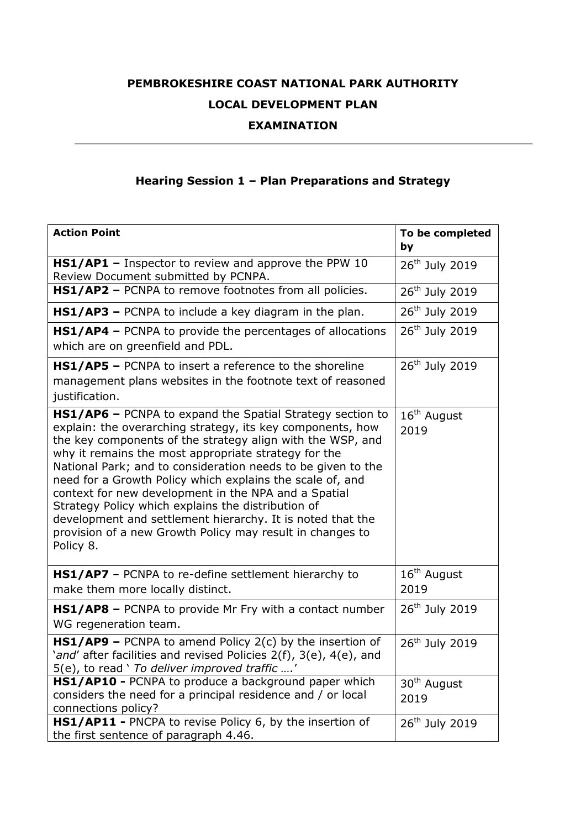## **PEMBROKESHIRE COAST NATIONAL PARK AUTHORITY LOCAL DEVELOPMENT PLAN**

## **EXAMINATION**

## **Hearing Session 1 – Plan Preparations and Strategy**

| <b>Action Point</b>                                                                                                                                                                                                                                                                                                                                                                                                                                                                                                                                                                                                              | To be completed<br>by           |
|----------------------------------------------------------------------------------------------------------------------------------------------------------------------------------------------------------------------------------------------------------------------------------------------------------------------------------------------------------------------------------------------------------------------------------------------------------------------------------------------------------------------------------------------------------------------------------------------------------------------------------|---------------------------------|
| HS1/AP1 - Inspector to review and approve the PPW 10<br>Review Document submitted by PCNPA.                                                                                                                                                                                                                                                                                                                                                                                                                                                                                                                                      | 26 <sup>th</sup> July 2019      |
| HS1/AP2 - PCNPA to remove footnotes from all policies.                                                                                                                                                                                                                                                                                                                                                                                                                                                                                                                                                                           | 26 <sup>th</sup> July 2019      |
| HS1/AP3 - PCNPA to include a key diagram in the plan.                                                                                                                                                                                                                                                                                                                                                                                                                                                                                                                                                                            | 26 <sup>th</sup> July 2019      |
| HS1/AP4 - PCNPA to provide the percentages of allocations<br>which are on greenfield and PDL.                                                                                                                                                                                                                                                                                                                                                                                                                                                                                                                                    | 26 <sup>th</sup> July 2019      |
| HS1/AP5 - PCNPA to insert a reference to the shoreline<br>management plans websites in the footnote text of reasoned<br>justification.                                                                                                                                                                                                                                                                                                                                                                                                                                                                                           | 26 <sup>th</sup> July 2019      |
| HS1/AP6 - PCNPA to expand the Spatial Strategy section to<br>explain: the overarching strategy, its key components, how<br>the key components of the strategy align with the WSP, and<br>why it remains the most appropriate strategy for the<br>National Park; and to consideration needs to be given to the<br>need for a Growth Policy which explains the scale of, and<br>context for new development in the NPA and a Spatial<br>Strategy Policy which explains the distribution of<br>development and settlement hierarchy. It is noted that the<br>provision of a new Growth Policy may result in changes to<br>Policy 8. | $16th$ August<br>2019           |
| HS1/AP7 - PCNPA to re-define settlement hierarchy to<br>make them more locally distinct.                                                                                                                                                                                                                                                                                                                                                                                                                                                                                                                                         | $16th$ August<br>2019           |
| <b>HS1/AP8</b> - PCNPA to provide Mr Fry with a contact number<br>WG regeneration team.                                                                                                                                                                                                                                                                                                                                                                                                                                                                                                                                          | 26 <sup>th</sup> July 2019      |
| $HS1/AP9$ – PCNPA to amend Policy 2(c) by the insertion of<br>'and' after facilities and revised Policies 2(f), 3(e), 4(e), and<br>5(e), to read ' To deliver improved traffic '                                                                                                                                                                                                                                                                                                                                                                                                                                                 | 26 <sup>th</sup> July 2019      |
| HS1/AP10 - PCNPA to produce a background paper which<br>considers the need for a principal residence and / or local<br>connections policy?                                                                                                                                                                                                                                                                                                                                                                                                                                                                                       | 30 <sup>th</sup> August<br>2019 |
| HS1/AP11 - PNCPA to revise Policy 6, by the insertion of<br>the first sentence of paragraph 4.46.                                                                                                                                                                                                                                                                                                                                                                                                                                                                                                                                | 26 <sup>th</sup> July 2019      |